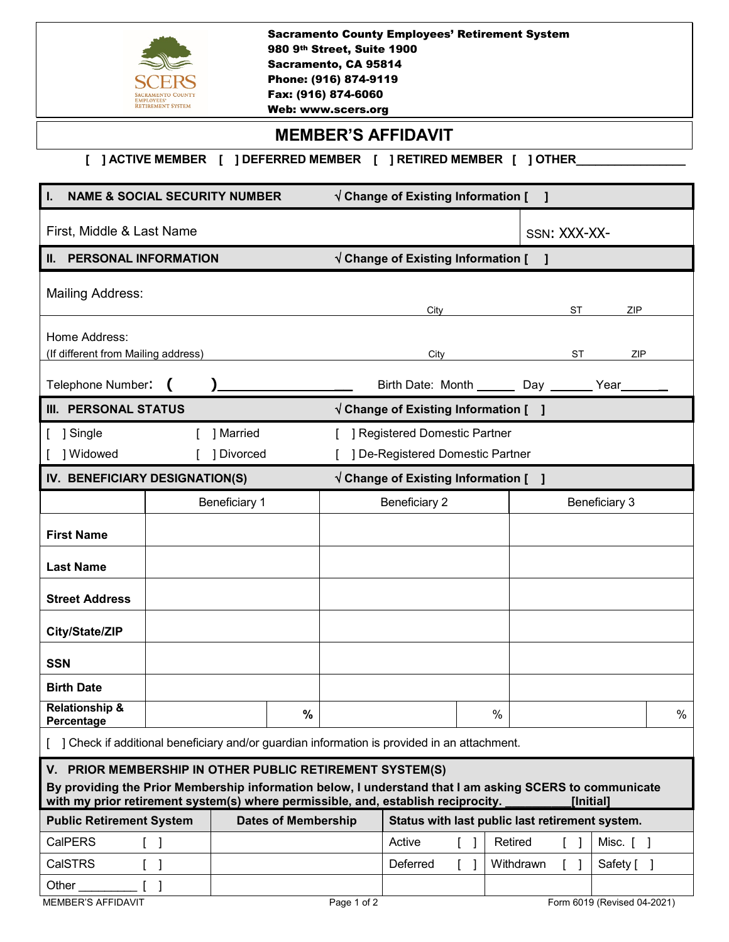| <b>Sacramento County Employees' Retirement System</b><br>980 9th Street, Suite 1900<br>Sacramento, CA 95814<br>Phone: (916) 874-9119<br>Fax: (916) 874-6060<br><b>MPLOYEES</b><br><b>RETIREMENT SYSTEM</b><br>Web: www.scers.org                                      |                                            |                      |                            |             |                                              |  |              |                                                 |   |  |
|-----------------------------------------------------------------------------------------------------------------------------------------------------------------------------------------------------------------------------------------------------------------------|--------------------------------------------|----------------------|----------------------------|-------------|----------------------------------------------|--|--------------|-------------------------------------------------|---|--|
| <b>MEMBER'S AFFIDAVIT</b>                                                                                                                                                                                                                                             |                                            |                      |                            |             |                                              |  |              |                                                 |   |  |
|                                                                                                                                                                                                                                                                       |                                            |                      |                            |             |                                              |  |              |                                                 |   |  |
| <b>NAME &amp; SOCIAL SECURITY NUMBER</b><br>$\sqrt{}$ Change of Existing Information [ ]                                                                                                                                                                              |                                            |                      |                            |             |                                              |  |              |                                                 |   |  |
| First, Middle & Last Name                                                                                                                                                                                                                                             |                                            |                      |                            |             |                                              |  | SSN: XXX-XX- |                                                 |   |  |
| <b>II. PERSONAL INFORMATION</b>                                                                                                                                                                                                                                       |                                            |                      |                            |             | $\sqrt{}$ Change of Existing Information [ ] |  |              |                                                 |   |  |
| <b>Mailing Address:</b><br>ST<br>ZIP<br>City                                                                                                                                                                                                                          |                                            |                      |                            |             |                                              |  |              |                                                 |   |  |
| Home Address:                                                                                                                                                                                                                                                         |                                            |                      |                            |             |                                              |  |              |                                                 |   |  |
| (If different from Mailing address)                                                                                                                                                                                                                                   |                                            |                      |                            | City        |                                              |  |              | <b>ST</b><br>ZIP                                |   |  |
| Telephone Number:<br>Birth Date: Month _______ Day _______ Year_                                                                                                                                                                                                      |                                            |                      |                            |             |                                              |  |              |                                                 |   |  |
| <b>III. PERSONAL STATUS</b><br>$\sqrt{}$ Change of Existing Information [ ]                                                                                                                                                                                           |                                            |                      |                            |             |                                              |  |              |                                                 |   |  |
| ] Single                                                                                                                                                                                                                                                              | 1 Married<br>] Registered Domestic Partner |                      |                            |             |                                              |  |              |                                                 |   |  |
| ] Widowed                                                                                                                                                                                                                                                             |                                            | [ ] Divorced         |                            |             | ] De-Registered Domestic Partner             |  |              |                                                 |   |  |
| IV. BENEFICIARY DESIGNATION(S)<br>$\sqrt{}$ Change of Existing Information [ ]                                                                                                                                                                                        |                                            |                      |                            |             |                                              |  |              |                                                 |   |  |
|                                                                                                                                                                                                                                                                       |                                            | <b>Beneficiary 1</b> |                            |             | <b>Beneficiary 2</b>                         |  |              | Beneficiary 3                                   |   |  |
| <b>First Name</b>                                                                                                                                                                                                                                                     |                                            |                      |                            |             |                                              |  |              |                                                 |   |  |
| <b>Last Name</b>                                                                                                                                                                                                                                                      |                                            |                      |                            |             |                                              |  |              |                                                 |   |  |
| <b>Street Address</b>                                                                                                                                                                                                                                                 |                                            |                      |                            |             |                                              |  |              |                                                 |   |  |
| City/State/ZIP                                                                                                                                                                                                                                                        |                                            |                      |                            |             |                                              |  |              |                                                 |   |  |
| <b>SSN</b>                                                                                                                                                                                                                                                            |                                            |                      |                            |             |                                              |  |              |                                                 |   |  |
| <b>Birth Date</b>                                                                                                                                                                                                                                                     |                                            |                      |                            |             |                                              |  |              |                                                 |   |  |
| <b>Relationship &amp;</b><br>Percentage                                                                                                                                                                                                                               |                                            |                      | $\%$                       |             |                                              |  | $\%$         |                                                 | % |  |
| ] Check if additional beneficiary and/or guardian information is provided in an attachment.                                                                                                                                                                           |                                            |                      |                            |             |                                              |  |              |                                                 |   |  |
| V. PRIOR MEMBERSHIP IN OTHER PUBLIC RETIREMENT SYSTEM(S)<br>By providing the Prior Membership information below, I understand that I am asking SCERS to communicate<br>with my prior retirement system(s) where permissible, and, establish reciprocity.<br>[Initial] |                                            |                      |                            |             |                                              |  |              |                                                 |   |  |
|                                                                                                                                                                                                                                                                       | <b>Public Retirement System</b>            |                      | <b>Dates of Membership</b> |             |                                              |  |              | Status with last public last retirement system. |   |  |
| <b>CalPERS</b>                                                                                                                                                                                                                                                        | $\mathbf{l}$                               |                      |                            |             | Active                                       |  | Retired      | Misc. [                                         |   |  |
| <b>CalSTRS</b>                                                                                                                                                                                                                                                        | -1                                         |                      |                            |             | Deferred                                     |  | Withdrawn    | Safety [ ]<br>$\Box$                            |   |  |
| Other<br><b>MEMBER'S AFFIDAVIT</b>                                                                                                                                                                                                                                    |                                            |                      |                            | Page 1 of 2 |                                              |  |              | Form 6019 (Revised 04-2021)                     |   |  |